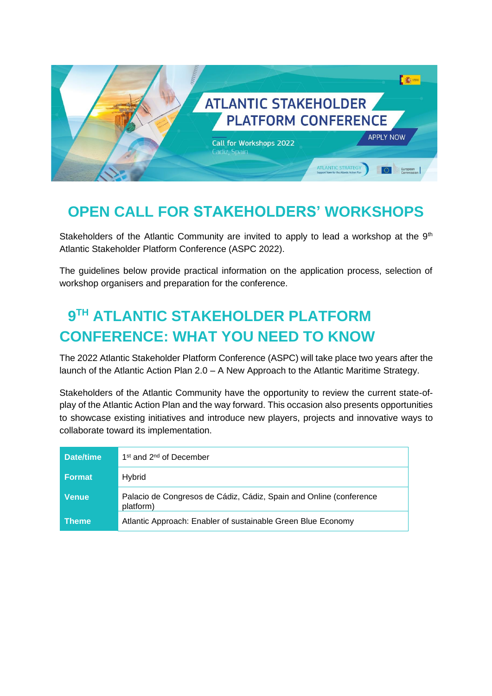

# **OPEN CALL FOR STAKEHOLDERS' WORKSHOPS**

Stakeholders of the Atlantic Community are invited to apply to lead a workshop at the  $9<sup>th</sup>$ Atlantic Stakeholder Platform Conference (ASPC 2022).

The guidelines below provide practical information on the application process, selection of workshop organisers and preparation for the conference.

# **9 TH ATLANTIC STAKEHOLDER PLATFORM CONFERENCE: WHAT YOU NEED TO KNOW**

The 2022 Atlantic Stakeholder Platform Conference (ASPC) will take place two years after the launch of the Atlantic Action Plan 2.0 – A New Approach to the Atlantic Maritime Strategy.

Stakeholders of the Atlantic Community have the opportunity to review the current state-ofplay of the Atlantic Action Plan and the way forward. This occasion also presents opportunities to showcase existing initiatives and introduce new players, projects and innovative ways to collaborate toward its implementation.

| Date/time     | 1 <sup>st</sup> and 2 <sup>nd</sup> of December                                 |  |
|---------------|---------------------------------------------------------------------------------|--|
| <b>Format</b> | Hybrid                                                                          |  |
| <b>Venue</b>  | Palacio de Congresos de Cádiz, Cádiz, Spain and Online (conference<br>platform) |  |
| <b>Theme</b>  | Atlantic Approach: Enabler of sustainable Green Blue Economy                    |  |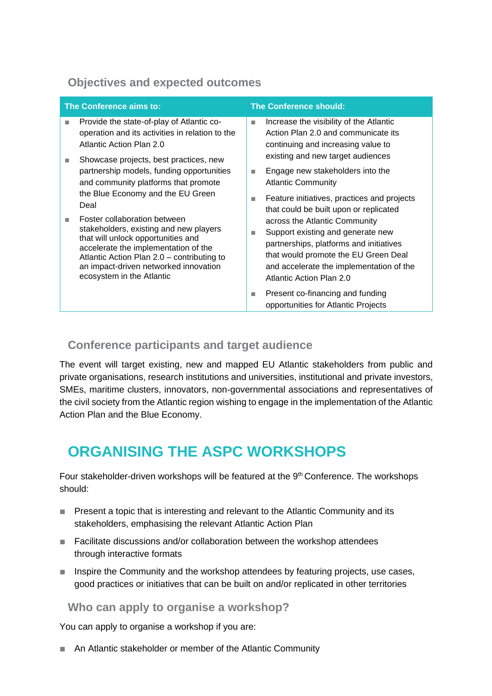### **Objectives and expected outcomes**

| The Conference aims to:  |                                                                                                                                                                                                                                                                                                                                                                                                                                                      | <b>The Conference should:</b> |                                                                                                                                                                                                                                                                         |
|--------------------------|------------------------------------------------------------------------------------------------------------------------------------------------------------------------------------------------------------------------------------------------------------------------------------------------------------------------------------------------------------------------------------------------------------------------------------------------------|-------------------------------|-------------------------------------------------------------------------------------------------------------------------------------------------------------------------------------------------------------------------------------------------------------------------|
| п                        | Provide the state-of-play of Atlantic co-<br>operation and its activities in relation to the<br>Atlantic Action Plan 2.0                                                                                                                                                                                                                                                                                                                             | П                             | Increase the visibility of the Atlantic<br>Action Plan 2.0 and communicate its<br>continuing and increasing value to<br>existing and new target audiences                                                                                                               |
| <b>COL</b><br><b>COL</b> | Showcase projects, best practices, new<br>partnership models, funding opportunities<br>and community platforms that promote<br>the Blue Economy and the EU Green<br>Deal<br>Foster collaboration between<br>stakeholders, existing and new players<br>that will unlock opportunities and<br>accelerate the implementation of the<br>Atlantic Action Plan 2.0 - contributing to<br>an impact-driven networked innovation<br>ecosystem in the Atlantic | <b>In</b><br>ш                | Engage new stakeholders into the<br><b>Atlantic Community</b><br>Feature initiatives, practices and projects                                                                                                                                                            |
|                          |                                                                                                                                                                                                                                                                                                                                                                                                                                                      | П                             | that could be built upon or replicated<br>across the Atlantic Community<br>Support existing and generate new<br>partnerships, platforms and initiatives<br>that would promote the EU Green Deal<br>and accelerate the implementation of the<br>Atlantic Action Plan 2.0 |
|                          |                                                                                                                                                                                                                                                                                                                                                                                                                                                      | m.                            | Present co-financing and funding<br>opportunities for Atlantic Projects                                                                                                                                                                                                 |

### **Conference participants and target audience**

The event will target existing, new and mapped EU Atlantic stakeholders from public and private organisations, research institutions and universities, institutional and private investors, SMEs, maritime clusters, innovators, non-governmental associations and representatives of the civil society from the Atlantic region wishing to engage in the implementation of the Atlantic Action Plan and the Blue Economy.

## **ORGANISING THE ASPC WORKSHOPS**

Four stakeholder-driven workshops will be featured at the 9<sup>th</sup> Conference. The workshops should:

- Present a topic that is interesting and relevant to the Atlantic Community and its stakeholders, emphasising the relevant Atlantic Action Plan
- Facilitate discussions and/or collaboration between the workshop attendees through interactive formats
- Inspire the Community and the workshop attendees by featuring projects, use cases, good practices or initiatives that can be built on and/or replicated in other territories

#### **Who can apply to organise a workshop?**

You can apply to organise a workshop if you are:

■ An Atlantic stakeholder or member of the Atlantic Community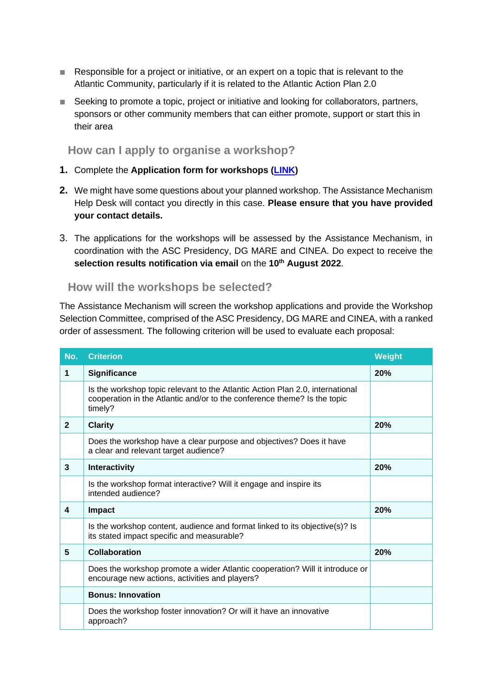- Responsible for a project or initiative, or an expert on a topic that is relevant to the Atlantic Community, particularly if it is related to the Atlantic Action Plan 2.0
- Seeking to promote a topic, project or initiative and looking for collaborators, partners, sponsors or other community members that can either promote, support or start this in their area

**How can I apply to organise a workshop?**

- **1.** Complete the **Application form for workshops [\(LINK\)](https://ec.europa.eu/eusurvey/runner/workshops_call)**
- **2.** We might have some questions about your planned workshop. The Assistance Mechanism Help Desk will contact you directly in this case. **Please ensure that you have provided your contact details.**
- 3. The applications for the workshops will be assessed by the Assistance Mechanism, in coordination with the ASC Presidency, DG MARE and CINEA. Do expect to receive the **selection results notification via email** on the **10th August 2022**.

**How will the workshops be selected?**

The Assistance Mechanism will screen the workshop applications and provide the Workshop Selection Committee, comprised of the ASC Presidency, DG MARE and CINEA, with a ranked order of assessment. The following criterion will be used to evaluate each proposal:

| No.          | <b>Criterion</b>                                                                                                                                                     | <b>Weight</b> |
|--------------|----------------------------------------------------------------------------------------------------------------------------------------------------------------------|---------------|
| 1            | Significance                                                                                                                                                         | 20%           |
|              | Is the workshop topic relevant to the Atlantic Action Plan 2.0, international<br>cooperation in the Atlantic and/or to the conference theme? Is the topic<br>timely? |               |
| $\mathbf{2}$ | <b>Clarity</b>                                                                                                                                                       | 20%           |
|              | Does the workshop have a clear purpose and objectives? Does it have<br>a clear and relevant target audience?                                                         |               |
| 3            | Interactivity                                                                                                                                                        | 20%           |
|              | Is the workshop format interactive? Will it engage and inspire its<br>intended audience?                                                                             |               |
| 4            | Impact                                                                                                                                                               | 20%           |
|              | Is the workshop content, audience and format linked to its objective(s)? Is<br>its stated impact specific and measurable?                                            |               |
| 5            | <b>Collaboration</b>                                                                                                                                                 | 20%           |
|              | Does the workshop promote a wider Atlantic cooperation? Will it introduce or<br>encourage new actions, activities and players?                                       |               |
|              | <b>Bonus: Innovation</b>                                                                                                                                             |               |
|              | Does the workshop foster innovation? Or will it have an innovative<br>approach?                                                                                      |               |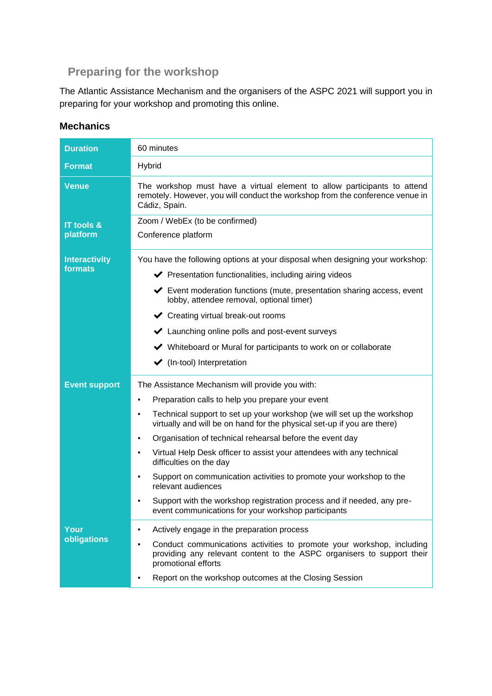### **Preparing for the workshop**

The Atlantic Assistance Mechanism and the organisers of the ASPC 2021 will support you in preparing for your workshop and promoting this online.

| <b>Duration</b>                   | 60 minutes                                                                                                                                                                                                                                                                                                                                                                                                                                                                                                                                                                                                                                                                 |  |
|-----------------------------------|----------------------------------------------------------------------------------------------------------------------------------------------------------------------------------------------------------------------------------------------------------------------------------------------------------------------------------------------------------------------------------------------------------------------------------------------------------------------------------------------------------------------------------------------------------------------------------------------------------------------------------------------------------------------------|--|
| <b>Format</b>                     | Hybrid                                                                                                                                                                                                                                                                                                                                                                                                                                                                                                                                                                                                                                                                     |  |
| <b>Venue</b>                      | The workshop must have a virtual element to allow participants to attend<br>remotely. However, you will conduct the workshop from the conference venue in<br>Cádiz, Spain.                                                                                                                                                                                                                                                                                                                                                                                                                                                                                                 |  |
| <b>IT tools &amp;</b><br>platform | Zoom / WebEx (to be confirmed)<br>Conference platform                                                                                                                                                                                                                                                                                                                                                                                                                                                                                                                                                                                                                      |  |
| <b>Interactivity</b><br>formats   | You have the following options at your disposal when designing your workshop:<br>◆ Presentation functionalities, including airing videos<br>Event moderation functions (mute, presentation sharing access, event<br>lobby, attendee removal, optional timer)<br>← Creating virtual break-out rooms<br>Launching online polls and post-event surveys<br>◆ Whiteboard or Mural for participants to work on or collaborate<br>$\blacktriangleright$ (In-tool) Interpretation                                                                                                                                                                                                  |  |
| <b>Event support</b>              | The Assistance Mechanism will provide you with:<br>Preparation calls to help you prepare your event<br>٠<br>Technical support to set up your workshop (we will set up the workshop<br>٠<br>virtually and will be on hand for the physical set-up if you are there)<br>Organisation of technical rehearsal before the event day<br>٠<br>Virtual Help Desk officer to assist your attendees with any technical<br>٠<br>difficulties on the day<br>Support on communication activities to promote your workshop to the<br>relevant audiences<br>Support with the workshop registration process and if needed, any pre-<br>event communications for your workshop participants |  |
| Your<br>obligations               | Actively engage in the preparation process<br>Conduct communications activities to promote your workshop, including<br>providing any relevant content to the ASPC organisers to support their<br>promotional efforts<br>Report on the workshop outcomes at the Closing Session                                                                                                                                                                                                                                                                                                                                                                                             |  |

#### **Mechanics**